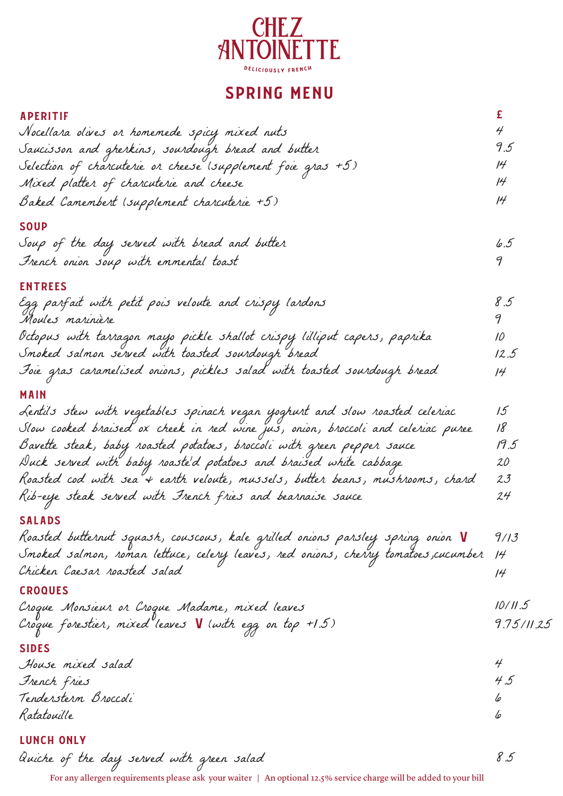

# SPRING MENU

£

#### APERITIF

| Nocellara olives or homemede spicy mixed nuts                |    |
|--------------------------------------------------------------|----|
| Saucisson and gherkins, sourdough bread and butter           | 95 |
| Selection of charcuterie or cheese (supplement foie gras +5) | 14 |
| Mixed platter of charcuterie and cheese                      |    |
| Baked Camembert (supplement charcuterie +5)                  |    |

#### **SOUP**

| Soup of the day served with bread and butter |  |
|----------------------------------------------|--|
| French onion soup with emmental toast        |  |

#### ENTREES

| Egg parfait with petit pois veloute and crispy lardons<br>Moules marinière | 8.5 |
|----------------------------------------------------------------------------|-----|
|                                                                            |     |

Octopus with tarragon mayo pickle shallot crispy lilliput capers, paprika Smoked salmon served with toasted sourdough bread 10 12.5

Foie gras caramelised onions, pickles salad with toasted sourdough bread 14

#### MAIN

| Lentils stew with vegetables spinach vegan yoghurt and slow roasted celeriac     | 15     |
|----------------------------------------------------------------------------------|--------|
| Slow cooked braised ox cheek in red wine jus, onion, broccoli and celeriac puree | 18     |
| Bavette steak, baby roasted potatoes, broccoli with green pepper sauce           | 19.5   |
| Duck served with baby roaste'd potatoes and braised white cabbage                | $20\,$ |
| Roasted cod with sea"+ earth veloute, mussels, butter beans, mushrooms, chard    | 23     |
| Rib-eije steak served with French fries and bearnaise sauce                      | 24     |

### SALADS

Roasted butternut squash, couscous, kale grilled onions parsley spring onion V Smoked salmon, roman lettuce, celery leaves, red onions, cherry tomatoes,cucumber Chicken Caesar roasted salad 9/13 14 14

#### CROQUES

| Croque Monsieur or Croque Madame, mixed leaves          | 10/11.5    |
|---------------------------------------------------------|------------|
| Croque forestier, mixed leaves V (with egg on top +1.5) | 9.75/11.25 |
|                                                         |            |

### SIDES

| House mixed salad    |     |
|----------------------|-----|
| French fries         | 4.5 |
| Tenderstern Broccoli | lo  |
| Ratatouille          | lo  |

## LUNCH ONLY

Quiche of the day served with green salad 8.5

For any allergen requirements please ask your waiter | An optional 12.5% service charge will be added to your bill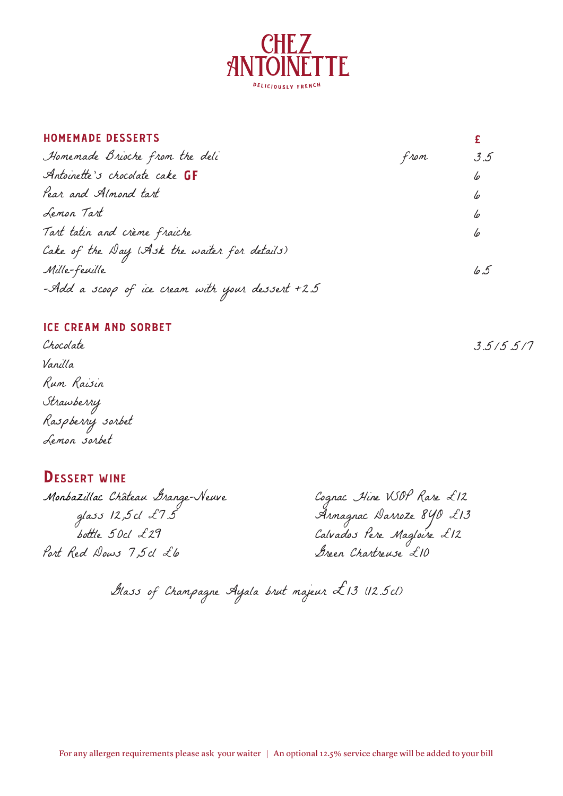

#### HOMEMADE DESSERTS

| Homemade Brioche from the deli                        | from | 3.5 |
|-------------------------------------------------------|------|-----|
| Antoinette's chocolate cake GF                        |      | 6   |
| Pear and Almond tart                                  |      | 6   |
| Lemon Tart                                            |      | 6   |
| Tart tatin and crème fraiche                          |      | 6   |
| Cake of the Day (Ask the waiter for details)          |      |     |
| Mille-feuille                                         |      | 6.5 |
| -Add a scoop of ice cream with your dessert +2.5 $\,$ |      |     |

#### ICE CREAM AND SORBET

Chocolate Vanilla Rum Raisin Strawberry Raspberry sorbet Lemon sorbet

# DESSERT WINE

Monbazillac Château Grange-Neuve<br>glass 12,5cl £7.5<br>bottle 50cl £29 glass 12,5cl £7.5 Armagnac Darroze 8YO £13 bottle 50cl £29 Calvados Pere Magloire £12 Port Red Dows 7,5cl Lle Green Chartreuse £10

Glass of Champagne Ayala brut majeur £13 (12.5cl)

3.5/5.5/7

£